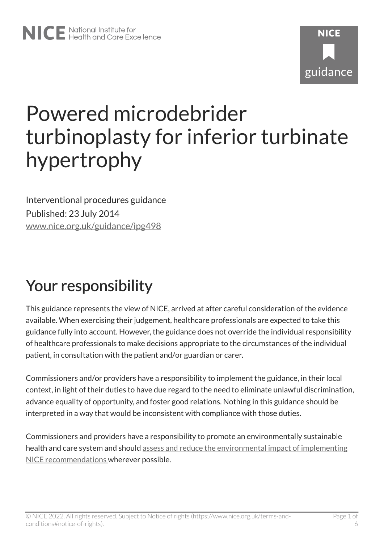# Powered microdebrider turbinoplasty for inferior turbinate hypertrophy

Interventional procedures guidance Published: 23 July 2014 [www.nice.org.uk/guidance/ipg498](https://www.nice.org.uk/guidance/ipg498) 

## Your responsibility

This guidance represents the view of NICE, arrived at after careful consideration of the evidence available. When exercising their judgement, healthcare professionals are expected to take this guidance fully into account. However, the guidance does not override the individual responsibility of healthcare professionals to make decisions appropriate to the circumstances of the individual patient, in consultation with the patient and/or guardian or carer.

Commissioners and/or providers have a responsibility to implement the guidance, in their local context, in light of their duties to have due regard to the need to eliminate unlawful discrimination, advance equality of opportunity, and foster good relations. Nothing in this guidance should be interpreted in a way that would be inconsistent with compliance with those duties.

Commissioners and providers have a responsibility to promote an environmentally sustainable health and care system and should [assess and reduce the environmental impact of implementing](https://www.nice.org.uk/about/who-we-are/sustainability)  [NICE recommendations w](https://www.nice.org.uk/about/who-we-are/sustainability)herever possible.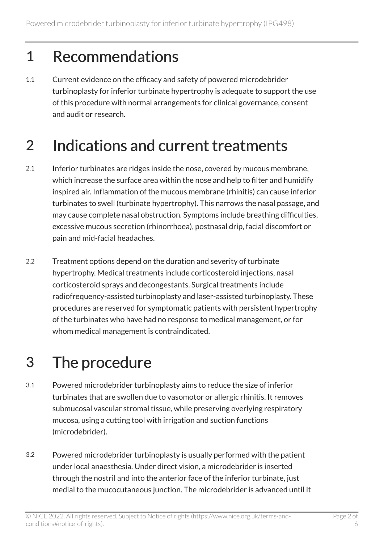#### 1 Recommendations

1.1 Current evidence on the efficacy and safety of powered microdebrider turbinoplasty for inferior turbinate hypertrophy is adequate to support the use of this procedure with normal arrangements for clinical governance, consent and audit or research.

## 2 Indications and current treatments

- 2.1 Inferior turbinates are ridges inside the nose, covered by mucous membrane, which increase the surface area within the nose and help to filter and humidify inspired air. Inflammation of the mucous membrane (rhinitis) can cause inferior turbinates to swell (turbinate hypertrophy). This narrows the nasal passage, and may cause complete nasal obstruction. Symptoms include breathing difficulties, excessive mucous secretion (rhinorrhoea), postnasal drip, facial discomfort or pain and mid-facial headaches.
- 2.2 Treatment options depend on the duration and severity of turbinate hypertrophy. Medical treatments include corticosteroid injections, nasal corticosteroid sprays and decongestants. Surgical treatments include radiofrequency-assisted turbinoplasty and laser-assisted turbinoplasty. These procedures are reserved for symptomatic patients with persistent hypertrophy of the turbinates who have had no response to medical management, or for whom medical management is contraindicated.

## 3 The procedure

- 3.1 Powered microdebrider turbinoplasty aims to reduce the size of inferior turbinates that are swollen due to vasomotor or allergic rhinitis. It removes submucosal vascular stromal tissue, while preserving overlying respiratory mucosa, using a cutting tool with irrigation and suction functions (microdebrider).
- 3.2 Powered microdebrider turbinoplasty is usually performed with the patient under local anaesthesia. Under direct vision, a microdebrider is inserted through the nostril and into the anterior face of the inferior turbinate, just medial to the mucocutaneous junction. The microdebrider is advanced until it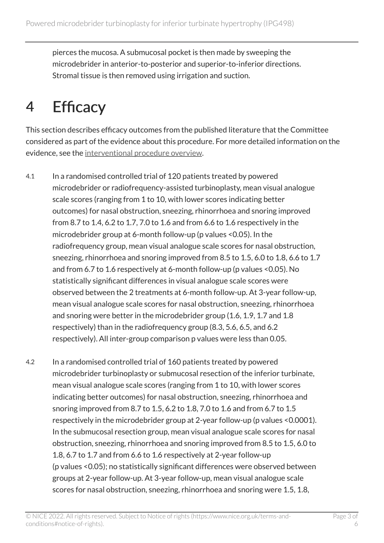pierces the mucosa. A submucosal pocket is then made by sweeping the microdebrider in anterior-to-posterior and superior-to-inferior directions. Stromal tissue is then removed using irrigation and suction.

#### 4 Efficacy

This section describes efficacy outcomes from the published literature that the Committee considered as part of the evidence about this procedure. For more detailed information on the evidence, see the [interventional procedure overview](http://www.nice.org.uk/Guidance/IPG498/Evidence).

- 4.1 In a randomised controlled trial of 120 patients treated by powered microdebrider or radiofrequency-assisted turbinoplasty, mean visual analogue scale scores (ranging from 1 to 10, with lower scores indicating better outcomes) for nasal obstruction, sneezing, rhinorrhoea and snoring improved from 8.7 to 1.4, 6.2 to 1.7, 7.0 to 1.6 and from 6.6 to 1.6 respectively in the microdebrider group at 6-month follow-up (p values <0.05). In the radiofrequency group, mean visual analogue scale scores for nasal obstruction, sneezing, rhinorrhoea and snoring improved from 8.5 to 1.5, 6.0 to 1.8, 6.6 to 1.7 and from 6.7 to 1.6 respectively at 6-month follow-up (p values <0.05). No statistically significant differences in visual analogue scale scores were observed between the 2 treatments at 6-month follow-up. At 3-year follow-up, mean visual analogue scale scores for nasal obstruction, sneezing, rhinorrhoea and snoring were better in the microdebrider group (1.6, 1.9, 1.7 and 1.8 respectively) than in the radiofrequency group (8.3, 5.6, 6.5, and 6.2 respectively). All inter-group comparison p values were less than 0.05.
- 4.2 In a randomised controlled trial of 160 patients treated by powered microdebrider turbinoplasty or submucosal resection of the inferior turbinate, mean visual analogue scale scores (ranging from 1 to 10, with lower scores indicating better outcomes) for nasal obstruction, sneezing, rhinorrhoea and snoring improved from 8.7 to 1.5, 6.2 to 1.8, 7.0 to 1.6 and from 6.7 to 1.5 respectively in the microdebrider group at 2-year follow-up (p values <0.0001). In the submucosal resection group, mean visual analogue scale scores for nasal obstruction, sneezing, rhinorrhoea and snoring improved from 8.5 to 1.5, 6.0 to 1.8, 6.7 to 1.7 and from 6.6 to 1.6 respectively at 2-year follow-up (p values <0.05); no statistically significant differences were observed between groups at 2-year follow-up. At 3-year follow-up, mean visual analogue scale scores for nasal obstruction, sneezing, rhinorrhoea and snoring were 1.5, 1.8,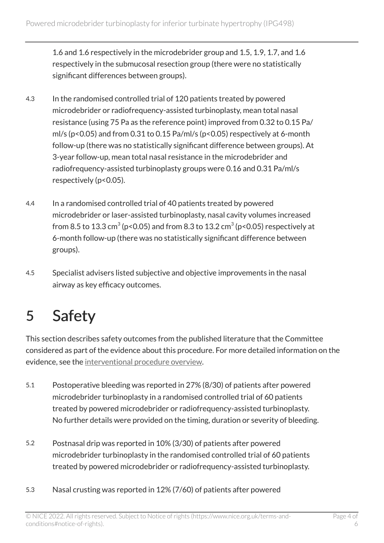1.6 and 1.6 respectively in the microdebrider group and 1.5, 1.9, 1.7, and 1.6 respectively in the submucosal resection group (there were no statistically significant differences between groups).

- 4.3 In the randomised controlled trial of 120 patients treated by powered microdebrider or radiofrequency-assisted turbinoplasty, mean total nasal resistance (using 75 Pa as the reference point) improved from 0.32 to 0.15 Pa/ ml/s (p<0.05) and from 0.31 to 0.15 Pa/ml/s (p<0.05) respectively at 6-month follow-up (there was no statistically significant difference between groups). At 3-year follow-up, mean total nasal resistance in the microdebrider and radiofrequency-assisted turbinoplasty groups were 0.16 and 0.31 Pa/ml/s respectively (p<0.05).
- 4.4 In a randomised controlled trial of 40 patients treated by powered microdebrider or laser-assisted turbinoplasty, nasal cavity volumes increased from 8.5 to 13.3 cm $^3$  (p<0.05) and from 8.3 to 13.2 cm $^3$  (p<0.05) respectively at 6-month follow-up (there was no statistically significant difference between groups).
- 4.5 Specialist advisers listed subjective and objective improvements in the nasal airway as key efficacy outcomes.

## 5 Safety

This section describes safety outcomes from the published literature that the Committee considered as part of the evidence about this procedure. For more detailed information on the evidence, see the [interventional procedure overview](http://www.nice.org.uk/Guidance/IPG498/Evidence).

- 5.1 Postoperative bleeding was reported in 27% (8/30) of patients after powered microdebrider turbinoplasty in a randomised controlled trial of 60 patients treated by powered microdebrider or radiofrequency-assisted turbinoplasty. No further details were provided on the timing, duration or severity of bleeding.
- 5.2 Postnasal drip was reported in 10% (3/30) of patients after powered microdebrider turbinoplasty in the randomised controlled trial of 60 patients treated by powered microdebrider or radiofrequency-assisted turbinoplasty.
- 5.3 Nasal crusting was reported in 12% (7/60) of patients after powered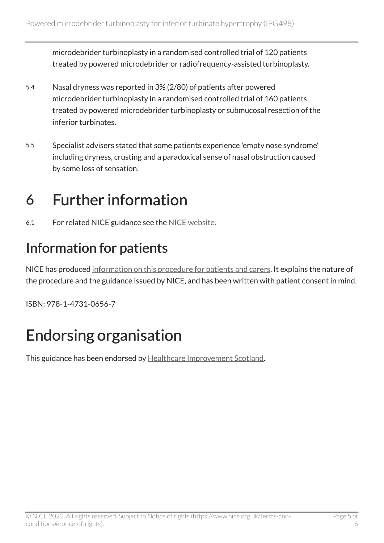microdebrider turbinoplasty in a randomised controlled trial of 120 patients treated by powered microdebrider or radiofrequency-assisted turbinoplasty.

- 5.4 Nasal dryness was reported in 3% (2/80) of patients after powered microdebrider turbinoplasty in a randomised controlled trial of 160 patients treated by powered microdebrider turbinoplasty or submucosal resection of the inferior turbinates.
- 5.5 Specialist advisers stated that some patients experience 'empty nose syndrome' including dryness, crusting and a paradoxical sense of nasal obstruction caused by some loss of sensation.

#### 6 Further information

6.1 For related NICE guidance see the [NICE website.](https://www.nice.org.uk/)

#### Information for patients

NICE has produced [information on this procedure for patients and carers](http://www.nice.org.uk/guidance/ipg498/informationforpublic). It explains the nature of the procedure and the guidance issued by NICE, and has been written with patient consent in mind.

ISBN: 978-1-4731-0656-7

## Endorsing organisation

This guidance has been endorsed by [Healthcare Improvement Scotland.](http://www.healthcareimprovementscotland.org/)